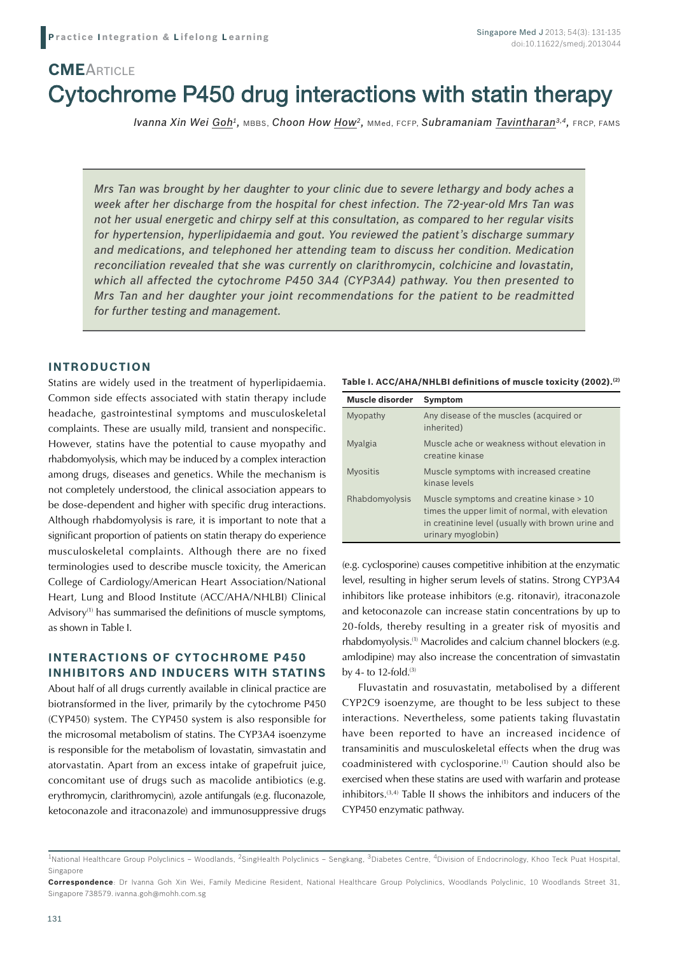# Cytochrome P450 drug interactions with statin therapy **CME**ARTICLE

*Ivanna Xin Wei Goh1,* MBBS, *Choon How How2,* MMed, FCFP, *Subramaniam Tavintharan3,4,* FRCP, FAMS

*Mrs Tan was brought by her daughter to your clinic due to severe lethargy and body aches a week after her discharge from the hospital for chest infection. The 72-year-old Mrs Tan was not her usual energetic and chirpy self at this consultation, as compared to her regular visits for hypertension, hyperlipidaemia and gout. You reviewed the patient's discharge summary and medications, and telephoned her attending team to discuss her condition. Medication reconciliation revealed that she was currently on clarithromycin, colchicine and lovastatin, which all affected the cytochrome P450 3A4 (CYP3A4) pathway. You then presented to Mrs Tan and her daughter your joint recommendations for the patient to be readmitted for further testing and management.* 

# **INTRODUCTION**

Statins are widely used in the treatment of hyperlipidaemia. Common side effects associated with statin therapy include headache, gastrointestinal symptoms and musculoskeletal complaints. These are usually mild, transient and nonspecific. However, statins have the potential to cause myopathy and rhabdomyolysis, which may be induced by a complex interaction among drugs, diseases and genetics. While the mechanism is not completely understood, the clinical association appears to be dose-dependent and higher with specific drug interactions. Although rhabdomyolysis is rare, it is important to note that a significant proportion of patients on statin therapy do experience musculoskeletal complaints. Although there are no fixed terminologies used to describe muscle toxicity, the American College of Cardiology/American Heart Association/National Heart, Lung and Blood Institute (ACC/AHA/NHLBI) Clinical Advisory $(1)$  has summarised the definitions of muscle symptoms, as shown in Table I.

## **INTERACTIONS OF CYTOCHROME P450 INHIBITORS AND INDUCERS WITH STATINS**

About half of all drugs currently available in clinical practice are biotransformed in the liver, primarily by the cytochrome P450 (CYP450) system. The CYP450 system is also responsible for the microsomal metabolism of statins. The CYP3A4 isoenzyme is responsible for the metabolism of lovastatin, simvastatin and atorvastatin. Apart from an excess intake of grapefruit juice, concomitant use of drugs such as macolide antibiotics (e.g. erythromycin, clarithromycin), azole antifungals (e.g. fluconazole, ketoconazole and itraconazole) and immunosuppressive drugs

#### **Table I. ACC/AHA/NHLBI definitions of muscle toxicity (2002).(2)**

| Muscle disorder | Symptom                                                                                                                                                                |
|-----------------|------------------------------------------------------------------------------------------------------------------------------------------------------------------------|
| Myopathy        | Any disease of the muscles (acquired or<br>inherited)                                                                                                                  |
| <b>Myalgia</b>  | Muscle ache or weakness without elevation in<br>creatine kinase                                                                                                        |
| <b>Myositis</b> | Muscle symptoms with increased creatine<br>kinase levels                                                                                                               |
| Rhabdomyolysis  | Muscle symptoms and creatine kinase > 10<br>times the upper limit of normal, with elevation<br>in creatinine level (usually with brown urine and<br>urinary myoglobin) |

(e.g. cyclosporine) causes competitive inhibition at the enzymatic level, resulting in higher serum levels of statins. Strong CYP3A4 inhibitors like protease inhibitors (e.g. ritonavir), itraconazole and ketoconazole can increase statin concentrations by up to 20-folds, thereby resulting in a greater risk of myositis and rhabdomyolysis.(1) Macrolides and calcium channel blockers (e.g. amlodipine) may also increase the concentration of simvastatin by 4- to 12-fold. $(3)$ 

Fluvastatin and rosuvastatin, metabolised by a different CYP2C9 isoenzyme, are thought to be less subject to these interactions. Nevertheless, some patients taking fluvastatin have been reported to have an increased incidence of transaminitis and musculoskeletal effects when the drug was coadministered with cyclosporine.(1) Caution should also be exercised when these statins are used with warfarin and protease inhibitors.<sup> $(3,4)$ </sup> Table II shows the inhibitors and inducers of the CYP450 enzymatic pathway.

<sup>&</sup>lt;sup>1</sup>National Healthcare Group Polyclinics – Woodlands, <sup>2</sup>SingHealth Polyclinics – Sengkang, <sup>3</sup>Diabetes Centre, <sup>4</sup>Division of Endocrinology, Khoo Teck Puat Hospital, Singapore

**Correspondence**: Dr Ivanna Goh Xin Wei, Family Medicine Resident, National Healthcare Group Polyclinics, Woodlands Polyclinic, 10 Woodlands Street 31, Singapore 738579. ivanna.goh@mohh.com.sg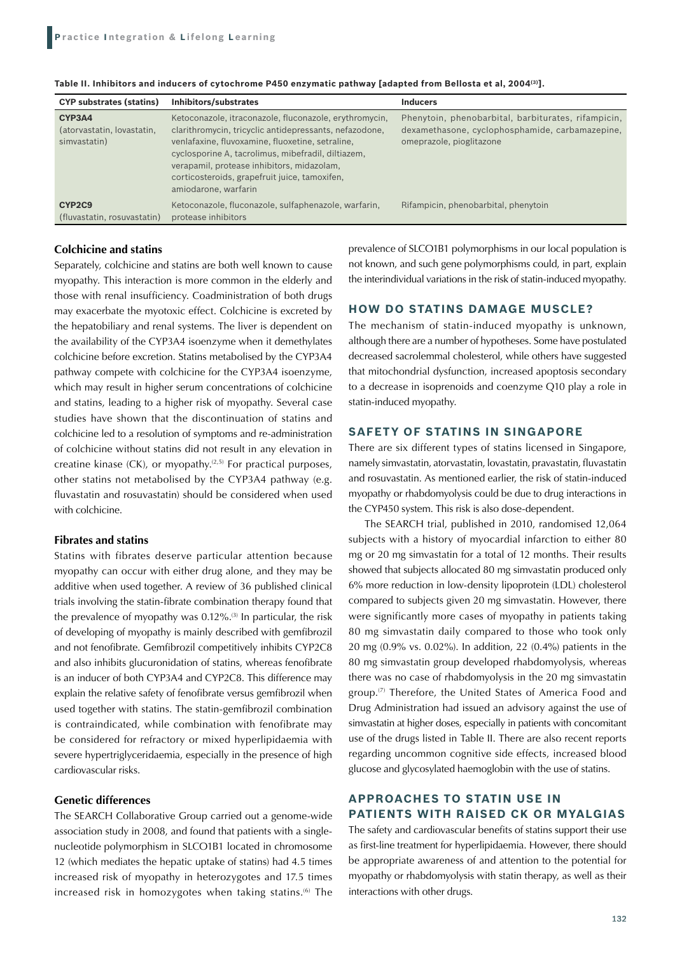| <b>CYP substrates (statins)</b>                      | Inhibitors/substrates                                                                                                                                                                                                                                                                                                                             | <b>Inducers</b>                                                                                                                    |
|------------------------------------------------------|---------------------------------------------------------------------------------------------------------------------------------------------------------------------------------------------------------------------------------------------------------------------------------------------------------------------------------------------------|------------------------------------------------------------------------------------------------------------------------------------|
| CYP3A4<br>(atorvastatin, lovastatin,<br>simvastatin) | Ketoconazole, itraconazole, fluconazole, erythromycin,<br>clarithromycin, tricyclic antidepressants, nefazodone,<br>venlafaxine, fluvoxamine, fluoxetine, setraline,<br>cyclosporine A, tacrolimus, mibefradil, diltiazem,<br>verapamil, protease inhibitors, midazolam,<br>corticosteroids, grapefruit juice, tamoxifen,<br>amiodarone, warfarin | Phenytoin, phenobarbital, barbiturates, rifampicin,<br>dexamethasone, cyclophosphamide, carbamazepine,<br>omeprazole, pioglitazone |
| CYP2C9<br>(fluvastatin, rosuvastatin)                | Ketoconazole, fluconazole, sulfaphenazole, warfarin,<br>protease inhibitors                                                                                                                                                                                                                                                                       | Rifampicin, phenobarbital, phenytoin                                                                                               |

| Table II. Inhibitors and inducers of cytochrome P450 enzymatic pathway [adapted from Bellosta et al, 2004(3)]. |  |
|----------------------------------------------------------------------------------------------------------------|--|
|----------------------------------------------------------------------------------------------------------------|--|

# **Colchicine and statins**

Separately, colchicine and statins are both well known to cause myopathy. This interaction is more common in the elderly and those with renal insufficiency. Coadministration of both drugs may exacerbate the myotoxic effect. Colchicine is excreted by the hepatobiliary and renal systems. The liver is dependent on the availability of the CYP3A4 isoenzyme when it demethylates colchicine before excretion. Statins metabolised by the CYP3A4 pathway compete with colchicine for the CYP3A4 isoenzyme, which may result in higher serum concentrations of colchicine and statins, leading to a higher risk of myopathy. Several case studies have shown that the discontinuation of statins and colchicine led to a resolution of symptoms and re-administration of colchicine without statins did not result in any elevation in creatine kinase  $(CK)$ , or myopathy.<sup> $(2,5)$ </sup> For practical purposes, other statins not metabolised by the CYP3A4 pathway (e.g. fluvastatin and rosuvastatin) should be considered when used with colchicine.

## **Fibrates and statins**

Statins with fibrates deserve particular attention because myopathy can occur with either drug alone, and they may be additive when used together. A review of 36 published clinical trials involving the statin-fibrate combination therapy found that the prevalence of myopathy was  $0.12\%$ .<sup>(3)</sup> In particular, the risk of developing of myopathy is mainly described with gemfibrozil and not fenofibrate. Gemfibrozil competitively inhibits CYP2C8 and also inhibits glucuronidation of statins, whereas fenofibrate is an inducer of both CYP3A4 and CYP2C8. This difference may explain the relative safety of fenofibrate versus gemfibrozil when used together with statins. The statin-gemfibrozil combination is contraindicated, while combination with fenofibrate may be considered for refractory or mixed hyperlipidaemia with severe hypertriglyceridaemia, especially in the presence of high cardiovascular risks.

## **Genetic differences**

The SEARCH Collaborative Group carried out a genome-wide association study in 2008, and found that patients with a singlenucleotide polymorphism in SLCO1B1 located in chromosome 12 (which mediates the hepatic uptake of statins) had 4.5 times increased risk of myopathy in heterozygotes and 17.5 times increased risk in homozygotes when taking statins.<sup>(6)</sup> The prevalence of SLCO1B1 polymorphisms in our local population is not known, and such gene polymorphisms could, in part, explain the interindividual variations in the risk of statin-induced myopathy.

## **HOW DO STATINS DAMAGE MUSCLE?**

The mechanism of statin-induced myopathy is unknown, although there are a number of hypotheses. Some have postulated decreased sacrolemmal cholesterol, while others have suggested that mitochondrial dysfunction, increased apoptosis secondary to a decrease in isoprenoids and coenzyme Q10 play a role in statin-induced myopathy.

## **SAFETY OF STATINS IN SINGAPORE**

There are six different types of statins licensed in Singapore, namely simvastatin, atorvastatin, lovastatin, pravastatin, fluvastatin and rosuvastatin. As mentioned earlier, the risk of statin-induced myopathy or rhabdomyolysis could be due to drug interactions in the CYP450 system. This risk is also dose-dependent.

The SEARCH trial, published in 2010, randomised 12,064 subjects with a history of myocardial infarction to either 80 mg or 20 mg simvastatin for a total of 12 months. Their results showed that subjects allocated 80 mg simvastatin produced only 6% more reduction in low-density lipoprotein (LDL) cholesterol compared to subjects given 20 mg simvastatin. However, there were significantly more cases of myopathy in patients taking 80 mg simvastatin daily compared to those who took only 20 mg (0.9% vs. 0.02%). In addition, 22 (0.4%) patients in the 80 mg simvastatin group developed rhabdomyolysis, whereas there was no case of rhabdomyolysis in the 20 mg simvastatin group.(7) Therefore, the United States of America Food and Drug Administration had issued an advisory against the use of simvastatin at higher doses, especially in patients with concomitant use of the drugs listed in Table II. There are also recent reports regarding uncommon cognitive side effects, increased blood glucose and glycosylated haemoglobin with the use of statins.

# **APPROACHES TO STATIN USE IN PATIENTS WITH RAISED CK OR MYALGIAS**

The safety and cardiovascular benefits of statins support their use as first-line treatment for hyperlipidaemia. However, there should be appropriate awareness of and attention to the potential for myopathy or rhabdomyolysis with statin therapy, as well as their interactions with other drugs.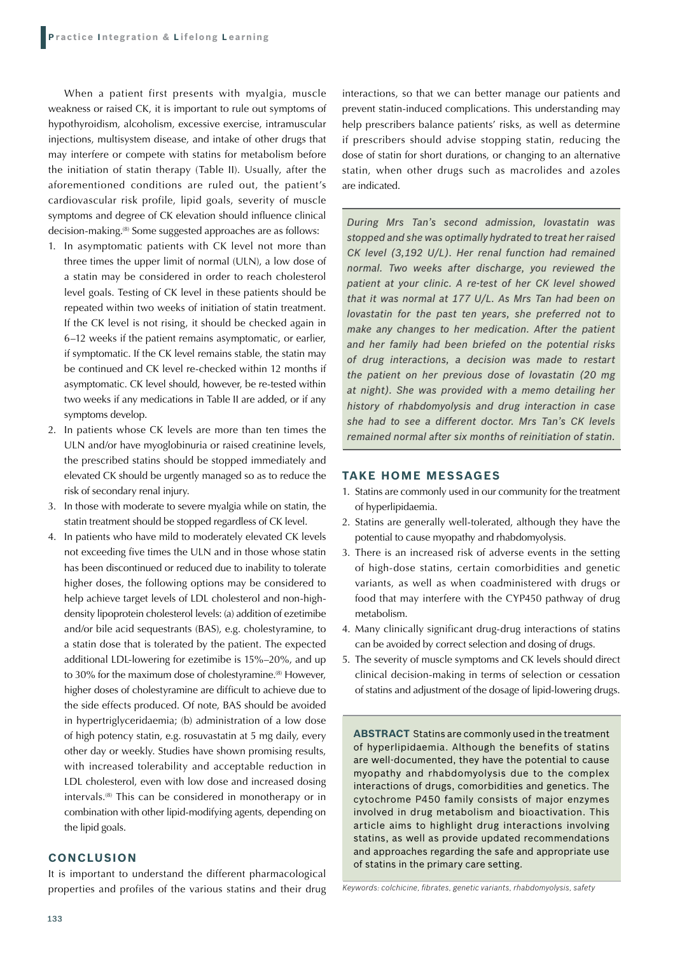When a patient first presents with myalgia, muscle weakness or raised CK, it is important to rule out symptoms of hypothyroidism, alcoholism, excessive exercise, intramuscular injections, multisystem disease, and intake of other drugs that may interfere or compete with statins for metabolism before the initiation of statin therapy (Table II). Usually, after the aforementioned conditions are ruled out, the patient's cardiovascular risk profile, lipid goals, severity of muscle symptoms and degree of CK elevation should influence clinical decision-making.<sup>(8)</sup> Some suggested approaches are as follows:

- 1. In asymptomatic patients with CK level not more than three times the upper limit of normal (ULN), a low dose of a statin may be considered in order to reach cholesterol level goals. Testing of CK level in these patients should be repeated within two weeks of initiation of statin treatment. If the CK level is not rising, it should be checked again in 6–12 weeks if the patient remains asymptomatic, or earlier, if symptomatic. If the CK level remains stable, the statin may be continued and CK level re-checked within 12 months if asymptomatic. CK level should, however, be re-tested within two weeks if any medications in Table II are added, or if any symptoms develop.
- 2. In patients whose CK levels are more than ten times the ULN and/or have myoglobinuria or raised creatinine levels, the prescribed statins should be stopped immediately and elevated CK should be urgently managed so as to reduce the risk of secondary renal injury.
- 3. In those with moderate to severe myalgia while on statin, the statin treatment should be stopped regardless of CK level.
- 4. In patients who have mild to moderately elevated CK levels not exceeding five times the ULN and in those whose statin has been discontinued or reduced due to inability to tolerate higher doses, the following options may be considered to help achieve target levels of LDL cholesterol and non-highdensity lipoprotein cholesterol levels: (a) addition of ezetimibe and/or bile acid sequestrants (BAS), e.g. cholestyramine, to a statin dose that is tolerated by the patient. The expected additional LDL-lowering for ezetimibe is 15%–20%, and up to 30% for the maximum dose of cholestyramine.<sup>(8)</sup> However, higher doses of cholestyramine are difficult to achieve due to the side effects produced. Of note, BAS should be avoided in hypertriglyceridaemia; (b) administration of a low dose of high potency statin, e.g. rosuvastatin at 5 mg daily, every other day or weekly. Studies have shown promising results, with increased tolerability and acceptable reduction in LDL cholesterol, even with low dose and increased dosing intervals.(8) This can be considered in monotherapy or in combination with other lipid-modifying agents, depending on the lipid goals.

### **CONCLUSION**

It is important to understand the different pharmacological properties and profiles of the various statins and their drug interactions, so that we can better manage our patients and prevent statin-induced complications. This understanding may help prescribers balance patients' risks, as well as determine if prescribers should advise stopping statin, reducing the dose of statin for short durations, or changing to an alternative statin, when other drugs such as macrolides and azoles are indicated.

*During Mrs Tan's second admission, lovastatin was stopped and she was optimally hydrated to treat her raised CK level (3,192 U/L). Her renal function had remained normal. Two weeks after discharge, you reviewed the patient at your clinic. A re-test of her CK level showed that it was normal at 177 U/L. As Mrs Tan had been on lovastatin for the past ten years, she preferred not to make any changes to her medication. After the patient and her family had been briefed on the potential risks of drug interactions, a decision was made to restart the patient on her previous dose of lovastatin (20 mg at night). She was provided with a memo detailing her history of rhabdomyolysis and drug interaction in case she had to see a different doctor. Mrs Tan's CK levels remained normal after six months of reinitiation of statin.*

### **Take Home Messages**

- 1. Statins are commonly used in our community for the treatment of hyperlipidaemia.
- 2. Statins are generally well-tolerated, although they have the potential to cause myopathy and rhabdomyolysis.
- 3. There is an increased risk of adverse events in the setting of high-dose statins, certain comorbidities and genetic variants, as well as when coadministered with drugs or food that may interfere with the CYP450 pathway of drug metabolism.
- 4. Many clinically significant drug-drug interactions of statins can be avoided by correct selection and dosing of drugs.
- 5. The severity of muscle symptoms and CK levels should direct clinical decision-making in terms of selection or cessation of statins and adjustment of the dosage of lipid-lowering drugs.

**ABSTRACT** Statins are commonly used in the treatment of hyperlipidaemia. Although the benefits of statins are well-documented, they have the potential to cause myopathy and rhabdomyolysis due to the complex interactions of drugs, comorbidities and genetics. The cytochrome P450 family consists of major enzymes involved in drug metabolism and bioactivation. This article aims to highlight drug interactions involving statins, as well as provide updated recommendations and approaches regarding the safe and appropriate use of statins in the primary care setting.

*Keywords: colchicine, fibrates, genetic variants, rhabdomyolysis, safety*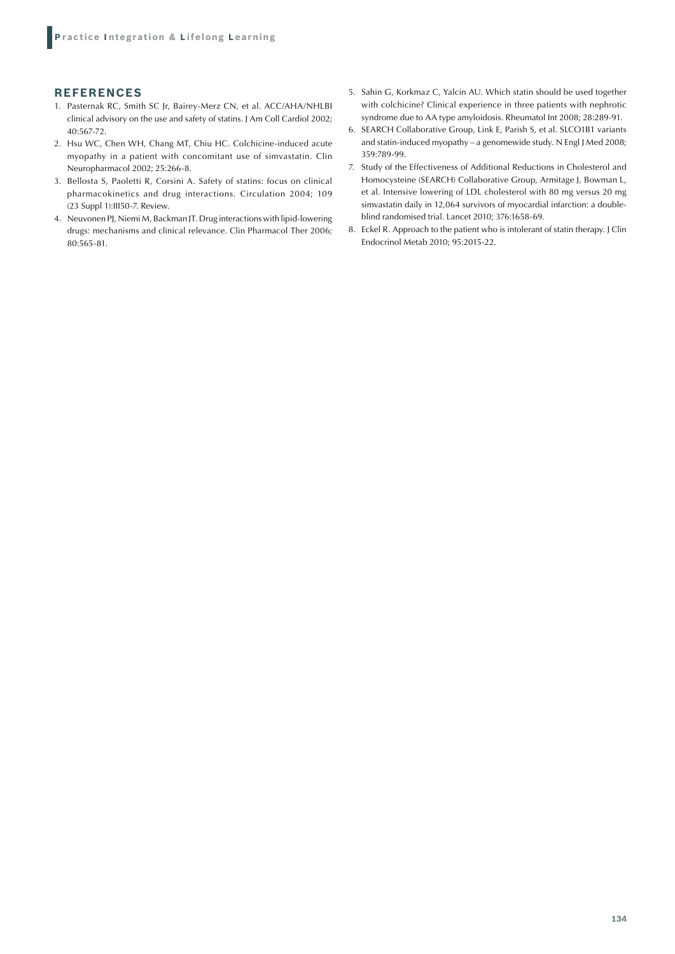# **REFERENCES**

- 1. Pasternak RC, Smith SC Jr, Bairey-Merz CN, et al. ACC/AHA/NHLBI clinical advisory on the use and safety of statins. J Am Coll Cardiol 2002; 40:567-72.
- 2. Hsu WC, Chen WH, Chang MT, Chiu HC. Colchicine-induced acute myopathy in a patient with concomitant use of simvastatin. Clin Neuropharmacol 2002; 25:266-8.
- 3. Bellosta S, Paoletti R, Corsini A. Safety of statins: focus on clinical pharmacokinetics and drug interactions. Circulation 2004; 109 (23 Suppl 1):III50-7. Review.
- 4. Neuvonen PJ, Niemi M, Backman JT. Drug interactions with lipid-lowering drugs: mechanisms and clinical relevance. Clin Pharmacol Ther 2006; 80:565-81.
- 5. Sahin G, Korkmaz C, Yalcin AU. Which statin should be used together with colchicine? Clinical experience in three patients with nephrotic syndrome due to AA type amyloidosis. Rheumatol Int 2008; 28:289-91.
- 6. SEARCH Collaborative Group, Link E, Parish S, et al. SLCO1B1 variants and statin-induced myopathy – a genomewide study. N Engl J Med 2008; 359:789-99.
- 7. Study of the Effectiveness of Additional Reductions in Cholesterol and Homocysteine (SEARCH) Collaborative Group, Armitage J, Bowman L, et al. Intensive lowering of LDL cholesterol with 80 mg versus 20 mg simvastatin daily in 12,064 survivors of myocardial infarction: a doubleblind randomised trial. Lancet 2010; 376:1658-69.
- 8. Eckel R. Approach to the patient who is intolerant of statin therapy. J Clin Endocrinol Metab 2010; 95:2015-22.